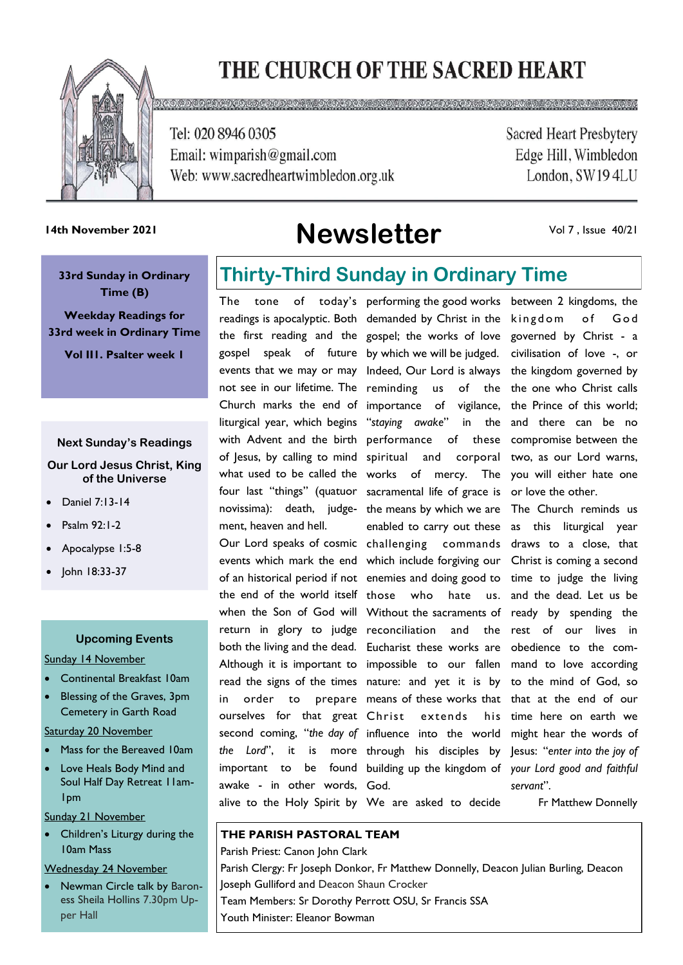# THE CHURCH OF THE SACRED HEART



Tel: 020 8946 0305

Email: wimparish@gmail.com Web: www.sacredheartwimbledon.org.uk

**GOODGOGOGOG** 

**Sacred Heart Presbytery** Edge Hill, Wimbledon London, SW194LU

# **Newsletter 14th November 2021**

Vol 7 , Issue 40/21

**33rd Sunday in Ordinary Time (B)** 

**Weekday Readings for 33rd week in Ordinary Time**

**Vol II1. Psalter week 1**

#### **Next Sunday's Readings**

#### **Our Lord Jesus Christ, King of the Universe**

- Daniel 7:13-14
- Psalm 92:1-2
- Apocalypse 1:5-8
- John 18:33-37

#### **Upcoming Events**

#### Sunday 14 November

- Continental Breakfast 10am
- Blessing of the Graves, 3pm Cemetery in Garth Road

Saturday 20 November

- Mass for the Bereaved 10am
- Love Heals Body Mind and Soul Half Day Retreat 11am-1pm

#### Sunday 21 November

Children's Liturgy during the 10am Mass

#### Wednesday 24 November

• Newman Circle talk by Baroness Sheila Hollins 7.30pm Upper Hall

## **Thirty-Third Sunday in Ordinary Time**

readings is apocalyptic. Both demanded by Christ in the the first reading and the gospel; the works of love gospel speak of future by which we will be judged. events that we may or may Indeed, Our Lord is always the kingdom governed by not see in our lifetime. The reminding us of the Church marks the end of importance of vigilance, liturgical year, which begins "*staying awake*" in the with Advent and the birth performance of these of Jesus, by calling to mind spiritual what used to be called the works four last "things" (quatuor sacramental life of grace is novissima): death, judge-the means by which we are ment, heaven and hell.

events which mark the end which include forgiving our Christ is coming a second of an historical period if not enemies and doing good to time to judge the living the end of the world itself those who hate us. when the Son of God will Without the sacraments of ready by spending the return in glory to judge reconciliation and the both the living and the dead. Eucharist these works are obedience to the com-Although it is important to impossible to our fallen read the signs of the times nature: and yet it is by in order to ourselves for that great Christ second coming, "*the day of*  influence into the world the Lord", it is important to awake - in other words, God. alive to the Holy Spirit by We are asked to decide

The tone of today's performing the good works between 2 kingdoms, the Our Lord speaks of cosmic challenging commands and corporal of mercy. enabled to carry out these as this liturgical year means of these works that that at the end of our extends his through his disciples by Jesus: "*enter into the joy of*  building up the kingdom of *your Lord good and faithful* 

kingdom of God governed by Christ - a civilisation of love -, or the one who Christ calls the Prince of this world; and there can be no compromise between the two, as our Lord warns, The you will either hate one or love the other.

> The Church reminds us draws to a close, that and the dead. Let us be rest of our lives in mand to love according to the mind of God, so time here on earth we might hear the words of *servant*".

> > Fr Matthew Donnelly

### **THE PARISH PASTORAL TEAM**

Parish Priest: Canon John Clark Parish Clergy: Fr Joseph Donkor, Fr Matthew Donnelly, Deacon Julian Burling, Deacon Joseph Gulliford and Deacon Shaun Crocker Team Members: Sr Dorothy Perrott OSU, Sr Francis SSA Youth Minister: Eleanor Bowman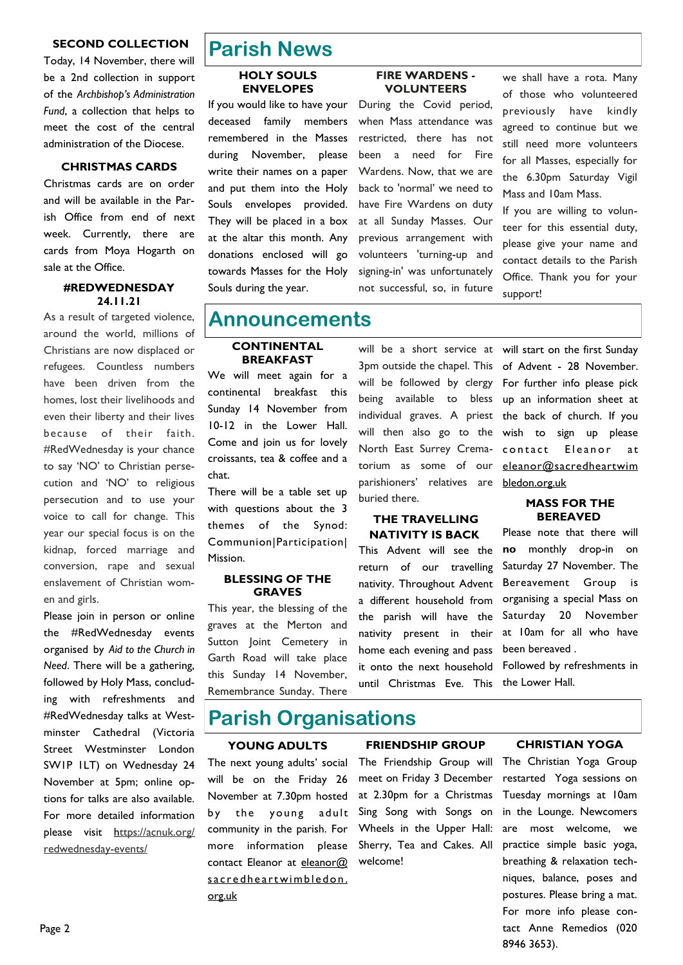#### **SECOND COLLECTION**

Today, 14 November, there will be a 2nd collection in support of the *Archbishop's Administration Fund*, a collection that helps to meet the cost of the central administration of the Diocese.

#### **CHRISTMAS CARDS**

Christmas cards are on order and will be available in the Parish Office from end of next week. Currently, there are cards from Moya Hogarth on sale at the Office.

#### **#REDWEDNESDAY 24.11.21**

As a result of targeted violence, around the world, millions of Christians are now displaced or refugees. Countless numbers have been driven from the homes, lost their livelihoods and even their liberty and their lives because of their faith. #RedWednesday is your chance to say 'NO' to Christian persecution and 'NO' to religious persecution and to use your voice to call for change. This year our special focus is on the kidnap, forced marriage and conversion, rape and sexual enslavement of Christian women and girls.

Please join in person or online the #RedWednesday events organised by *Aid to the Church in Need*. There will be a gathering, followed by Holy Mass, concluding with refreshments and #RedWednesday talks at Westminster Cathedral (Victoria Street Westminster London SW1P 1LT) on Wednesday 24 November at 5pm; online options for talks are also available. For more detailed information please visit https://acnuk.org/ redwednesday-events/

### **Parish News**

#### **HOLY SOULS ENVELOPES**

If you would like to have your deceased family members remembered in the Masses during November, please write their names on a paper and put them into the Holy Souls envelopes provided. They will be placed in a box at the altar this month. Any donations enclosed will go towards Masses for the Holy Souls during the year.

#### **FIRE WARDENS - VOLUNTEERS**

During the Covid period, when Mass attendance was restricted, there has not been a need for Fire Wardens. Now, that we are back to 'normal' we need to have Fire Wardens on duty at all Sunday Masses. Our previous arrangement with volunteers 'turning-up and signing-in' was unfortunately not successful, so, in future

we shall have a rota. Many of those who volunteered previously have kindly agreed to continue but we still need more volunteers for all Masses, especially for the 6.30pm Saturday Vigil Mass and 10am Mass.

If you are willing to volunteer for this essential duty, please give your name and contact details to the Parish Office. Thank you for your support!

### **Announcements**

#### **CONTINENTAL BREAKFAST**

We will meet again for a continental breakfast this Sunday 14 November from 10-12 in the Lower Hall. Come and join us for lovely croissants, tea & coffee and a chat.

There will be a table set up with questions about the 3 themes of the Synod: Communion|Participation| Mission.

#### **BLESSING OF THE GRAVES**

This year, the blessing of the graves at the Merton and Sutton Joint Cemetery in Garth Road will take place this Sunday 14 November, Remembrance Sunday. There

will be a short service at will start on the first Sunday being available to bless will then also go to the North East Surrey Crematorium as some of our parishioners' relatives are buried there.

#### **THE TRAVELLING NATIVITY IS BACK**

This Advent will see the return of our travelling nativity. Throughout Advent a different household from the parish will have the nativity present in their home each evening and pass it onto the next household until Christmas Eve. This

3pm outside the chapel. This of Advent - 28 November. will be followed by clergy For further info please pick individual graves. A priest the back of church. If you up an information sheet at wish to sign up please contact Eleanor at [eleanor@sacredheartwim](mailto:eleanor@sacredheartwimbledon.org.uk)  [bledon.org.uk](mailto:eleanor@sacredheartwimbledon.org.uk)

#### **MASS FOR THE BEREAVED**

Please note that there will **no** monthly drop-in on Saturday 27 November. The Bereavement Group is organising a special Mass on Saturday 20 November at 10am for all who have been bereaved .

Followed by refreshments in the Lower Hall.

### **Parish Organisations**

#### **YOUNG ADULTS**

The next young adults' social will be on the Friday 26 November at 7.30pm hosted by the young adult community in the parish. For more information please contact Eleanor at [eleanor@](mailto:eleanor@sacredheartwimbledon.org.uk)  s a credheart wimbled on. [org.uk](mailto:eleanor@sacredheartwimbledon.org.uk)

#### **FRIENDSHIP GROUP**

The Friendship Group will meet on Friday 3 December at 2.30pm for a Christmas Sing Song with Songs on Wheels in the Upper Hall: Sherry, Tea and Cakes. All welcome!

#### **CHRISTIAN YOGA**

The Christian Yoga Group restarted Yoga sessions on Tuesday mornings at 10am in the Lounge. Newcomers are most welcome, we practice simple basic yoga, breathing & relaxation techniques, balance, poses and postures. Please bring a mat. For more info please contact Anne Remedios (020 8946 3653).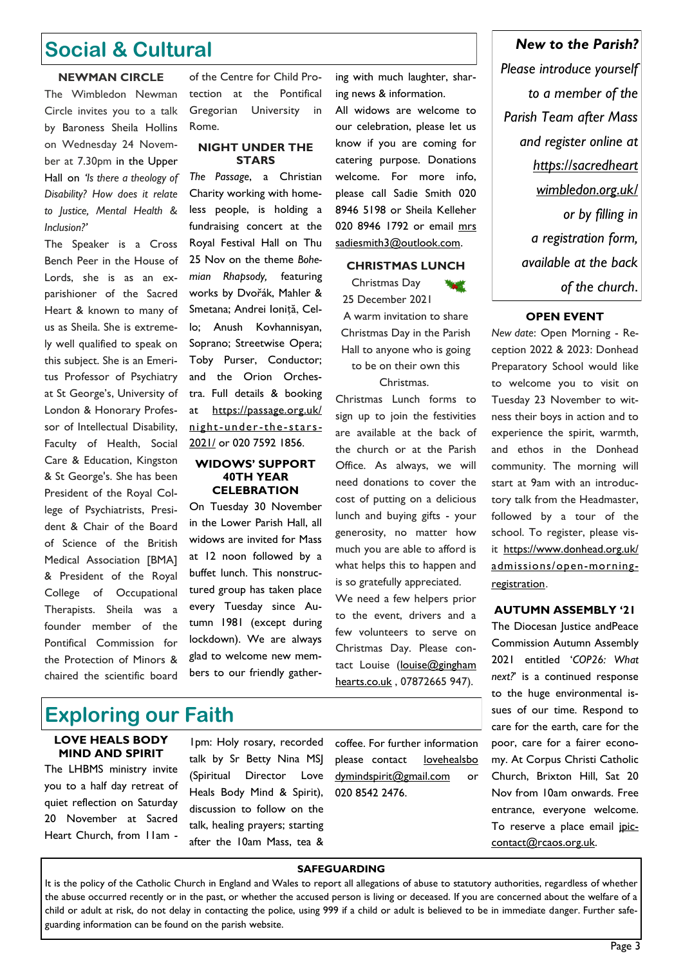### **Social & Cultural**

#### **NEWMAN CIRCLE**

The Wimbledon Newman Circle invites you to a talk by Baroness Sheila Hollins on Wednesday 24 November at 7.30pm in the Upper Hall on *'Is there a theology of Disability? How does it relate to Justice, Mental Health & Inclusion?'*

The Speaker is a Cross Bench Peer in the House of Lords, she is as an exparishioner of the Sacred Heart & known to many of us as Sheila. She is extremely well qualified to speak on this subject. She is an Emeritus Professor of Psychiatry at St George's, University of London & Honorary Professor of Intellectual Disability, Faculty of Health, Social Care & Education, Kingston & St George's. She has been President of the Royal College of Psychiatrists, President & Chair of the Board of Science of the British Medical Association [BMA] & President of the Royal College of Occupational Therapists. Sheila was a founder member of the Pontifical Commission for the Protection of Minors & chaired the scientific board

of the Centre for Child Protection at the Pontifical Gregorian University in Rome.

#### **NIGHT UNDER THE STARS**

*The Passage*, a Christian Charity working with homeless people, is holding a fundraising concert at the Royal Festival Hall on Thu 25 Nov on the theme *Bohemian Rhapsody,* featuring works by Dvořák, Mahler & Smetana; Andrei Ioniță, Cello; Anush Kovhannisyan, Soprano; Streetwise Opera; Toby Purser, Conductor; and the Orion Orchestra. Full details & booking at [https://passage.org.uk/](https://passage.org.uk/night-under-the-stars-2021/) [night-under-the](https://passage.org.uk/night-under-the-stars-2021/) -stars-[2021/](https://passage.org.uk/night-under-the-stars-2021/) or 020 7592 1856.

#### **WIDOWS' SUPPORT 40TH YEAR CELEBRATION**

On Tuesday 30 November in the Lower Parish Hall, all widows are invited for Mass at 12 noon followed by a buffet lunch. This nonstructured group has taken place every Tuesday since Autumn 1981 (except during lockdown). We are always glad to welcome new members to our friendly gathering with much laughter, sharing news & information.

All widows are welcome to our celebration, please let us know if you are coming for catering purpose. Donations welcome. For more info, please call Sadie Smith 020 8946 5198 or Sheila Kelleher 020 8946 1792 or email mrs sadiesmith3@outlook.com.

#### **CHRISTMAS LUNCH**

Christmas Day 25 December 2021 A warm invitation to share Christmas Day in the Parish Hall to anyone who is going

to be on their own this

Christmas.

Christmas Lunch forms to sign up to join the festivities are available at the back of the church or at the Parish Office. As always, we will need donations to cover the cost of putting on a delicious lunch and buying gifts - your generosity, no matter how much you are able to afford is what helps this to happen and is so gratefully appreciated.

We need a few helpers prior to the event, drivers and a few volunteers to serve on Christmas Day. Please contact Louise (louise@gingham [hearts.co.uk](mailto:louise@ginghamhearts.co.uk) , 07872665 947).

*Please introduce yourself to a member of the Parish Team after Mass and register online at https://sacredheart wimbledon.org.uk/ or by filling in a registration form, available at the back of the church*.

*New to the Parish?* 

#### **OPEN EVENT**

*New date*: Open Morning - Reception 2022 & 2023: Donhead Preparatory School would like to welcome you to visit on Tuesday 23 November to witness their boys in action and to experience the spirit, warmth, and ethos in the Donhead community. The morning will start at 9am with an introductory talk from the Headmaster, followed by a tour of the school. To register, please visit [https://www.donhead.org.uk/](https://www.donhead.org.uk/admissions/open-morning-registration) [admissions/open-morning](https://www.donhead.org.uk/admissions/open-morning-registration)[registration](https://www.donhead.org.uk/admissions/open-morning-registration).

#### **AUTUMN ASSEMBLY '21**

The Diocesan Justice andPeace Commission Autumn Assembly 2021 entitled '*COP26: What next?*' is a continued response to the huge environmental issues of our time. Respond to care for the earth, care for the poor, care for a fairer economy. At Corpus Christi Catholic Church, Brixton Hill, Sat 20 Nov from 10am onwards. Free entrance, everyone welcome. To reserve a place email jpiccontact@rcaos.org.uk.

### **Exploring our Faith**

#### **LOVE HEALS BODY MIND AND SPIRIT**

The LHBMS ministry invite you to a half day retreat of quiet reflection on Saturday 20 November at Sacred Heart Church, from 11am -

1pm: Holy rosary, recorded talk by Sr Betty Nina MSJ (Spiritual Director Love Heals Body Mind & Spirit), discussion to follow on the talk, healing prayers; starting after the 10am Mass, tea &

coffee. For further information please contact [lovehealsbo](mailto:lovehealsbodymindspirit@gmail.com)  [dymindspirit@gmail.com](mailto:lovehealsbodymindspirit@gmail.com) or 020 8542 2476.

#### **SAFEGUARDING**

It is the policy of the Catholic Church in England and Wales to report all allegations of abuse to statutory authorities, regardless of whether the abuse occurred recently or in the past, or whether the accused person is living or deceased. If you are concerned about the welfare of a child or adult at risk, do not delay in contacting the police, using 999 if a child or adult is believed to be in immediate danger. Further safeguarding information can be found on the parish website.